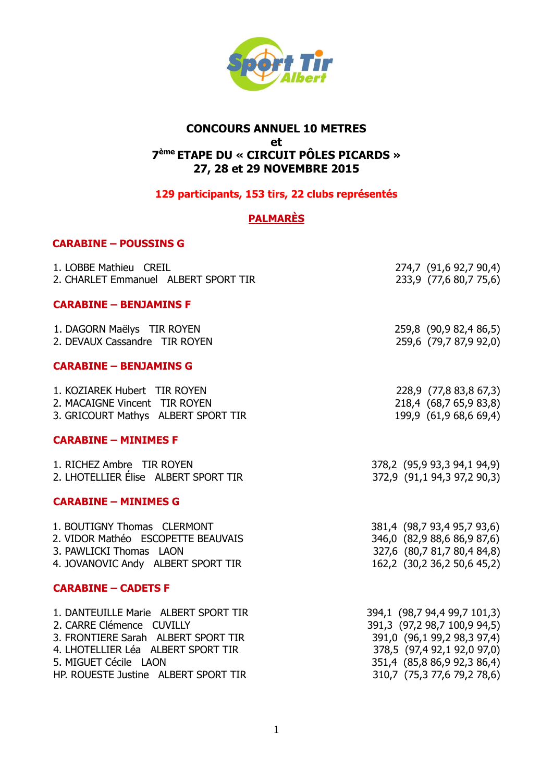

# **CONCOURS ANNUEL 10 METRES** et 7<sup>ème</sup> ETAPE DU « CIRCUIT PÔLES PICARDS » 27, 28 et 29 NOVEMBRE 2015

# 129 participants, 153 tirs, 22 clubs représentés

# **PALMARÈS**

## **CARABINE - POUSSINS G**

| 1. LOBBE Mathieu CREIL               | 274,7 (91,6 92,7 90,4)       |
|--------------------------------------|------------------------------|
| 2. CHARLET Emmanuel ALBERT SPORT TIR | 233,9 (77,6 80,7 75,6)       |
| <b>CARABINE - BENJAMINS F</b>        |                              |
| 1. DAGORN Maëlys TIR ROYEN           | 259,8 (90,9 82,4 86,5)       |
| 2. DEVAUX Cassandre TIR ROYEN        | 259,6 (79,7 87,9 92,0)       |
| <b>CARABINE - BENJAMINS G</b>        |                              |
| 1. KOZIAREK Hubert TIR ROYEN         | 228,9 (77,8 83,8 67,3)       |
| 2. MACAIGNE Vincent TIR ROYEN        | 218,4 (68,7 65,9 83,8)       |
| 3. GRICOURT Mathys ALBERT SPORT TIR  | 199,9 (61,9 68,6 69,4)       |
| <b>CARABINE - MINIMES F</b>          |                              |
| 1. RICHEZ Ambre TIR ROYEN            | 378,2 (95,9 93,3 94,1 94,9)  |
| 2. LHOTELLIER Élise ALBERT SPORT TIR | 372,9 (91,1 94,3 97,2 90,3)  |
| <b>CARABINE - MINIMES G</b>          |                              |
| 1. BOUTIGNY Thomas CLERMONT          | 381,4 (98,7 93,4 95,7 93,6)  |
| 2. VIDOR Mathéo ESCOPETTE BEAUVAIS   | 346,0 (82,9 88,6 86,9 87,6)  |
| 3. PAWLICKI Thomas LAON              | 327,6 (80,7 81,7 80,4 84,8)  |
| 4. JOVANOVIC Andy ALBERT SPORT TIR   | 162,2 (30,2 36,2 50,6 45,2)  |
| <b>CARABINE - CADETS F</b>           |                              |
| 1. DANTEUILLE Marie ALBERT SPORT TIR | 394,1 (98,7 94,4 99,7 101,3) |
| 2. CARRE Clémence CUVILLY            | 391,3 (97,2 98,7 100,9 94,5) |
| 3. FRONTIERE Sarah ALBERT SPORT TIR  | 391,0 (96,1 99,2 98,3 97,4)  |
| 4. LHOTELLIER Léa ALBERT SPORT TIR   | 378,5 (97,4 92,1 92,0 97,0)  |
| 5. MIGUET Cécile LAON                | 351,4 (85,8 86,9 92,3 86,4)  |
| HP. ROUESTE Justine ALBERT SPORT TIR | 310,7 (75,3 77,6 79,2 78,6)  |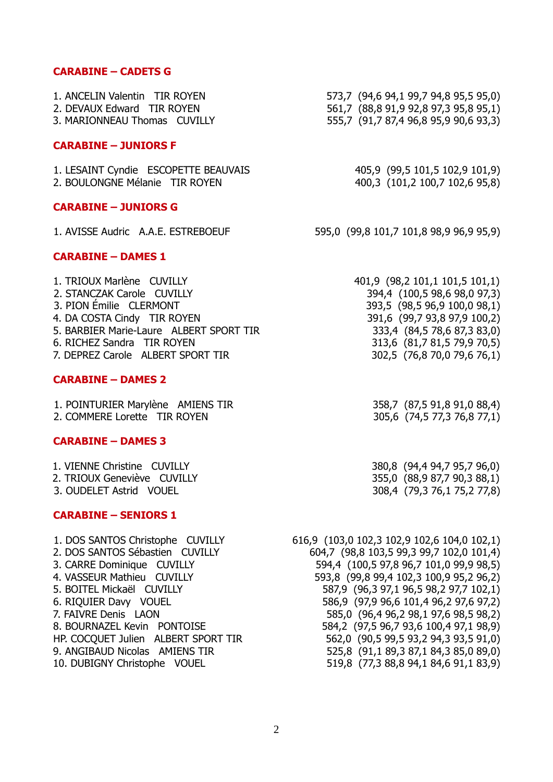#### **CARABINE – CADETS G**

| 1. ANCELIN Valentin TIR ROYEN<br>2. DEVAUX Edward TIR ROYEN<br>3. MARIONNEAU Thomas CUVILLY                                                                                                | 573,7 (94,6 94,1 99,7 94,8 95,5 95,0)<br>561,7 (88,8 91,9 92,8 97,3 95,8 95,1)<br>555,7 (91,7 87,4 96,8 95,9 90,6 93,3)                                                                      |
|--------------------------------------------------------------------------------------------------------------------------------------------------------------------------------------------|----------------------------------------------------------------------------------------------------------------------------------------------------------------------------------------------|
| <b>CARABINE - JUNIORS F</b>                                                                                                                                                                |                                                                                                                                                                                              |
| 1. LESAINT Cyndie ESCOPETTE BEAUVAIS<br>2. BOULONGNE Mélanie TIR ROYEN                                                                                                                     | 405,9 (99,5 101,5 102,9 101,9)<br>400,3 (101,2 100,7 102,6 95,8)                                                                                                                             |
| <b>CARABINE - JUNIORS G</b>                                                                                                                                                                |                                                                                                                                                                                              |
| 1. AVISSE Audric A.A.E. ESTREBOEUF                                                                                                                                                         | 595,0 (99,8 101,7 101,8 98,9 96,9 95,9)                                                                                                                                                      |
| <b>CARABINE - DAMES 1</b>                                                                                                                                                                  |                                                                                                                                                                                              |
| 1. TRIOUX Marlène CUVILLY<br>2. STANCZAK Carole CUVILLY<br>3. PION Émilie CLERMONT<br>4. DA COSTA Cindy TIR ROYEN<br>5. BARBIER Marie-Laure ALBERT SPORT TIR<br>6. RICHEZ Sandra TIR ROYEN | 401,9 (98,2 101,1 101,5 101,1)<br>394,4 (100,5 98,6 98,0 97,3)<br>393,5 (98,5 96,9 100,0 98,1)<br>391,6 (99,7 93,8 97,9 100,2)<br>333,4 (84,5 78,6 87,3 83,0)<br>313,6 (81,7 81,5 79,9 70,5) |

#### **CARABINE – DAMES 2**

1. POINTURIER Marylène AMIENS TIR 358,7 (87,5 91,8 91,0 88,4) 2. COMMERE Lorette TIR ROYEN 305,6 (74,5 77,3 76,8 77,1)

#### **CARABINE – DAMES 3**

| 1. VIENNE Christine CUVILLY |  |
|-----------------------------|--|
| 2. TRIOUX Geneviève CUVILLY |  |
| 3. OUDELET Astrid VOUEL     |  |

## **CARABINE – SENIORS 1**

10. DUBIGNY Christophe VOUEL 519,8 (77,3 88,8 94,1 84,6 91,1 83,9)

- -

7. DEPREZ Carole ALBERT SPORT TIR 302,5 (76,8 70,0 79,6 76,1)

380,8 (94,4 94,7 95,7 96,0) 355,0 (88,9 87,7 90,3 88,1) 308,4 (79,3 76,1 75,2 77,8)

1. DOS SANTOS Christophe CUVILLY 616,9 (103,0 102,3 102,9 102,6 104,0 102,1) 2. DOS SANTOS Sébastien CUVILLY 604,7 (98,8 103,5 99,3 99,7 102,0 101,4) 3. CARRE Dominique CUVILLY 594,4 (100,5 97,8 96,7 101,0 99,9 98,5) 4. VASSEUR Mathieu CUVILLY 593,8 (99,8 99,4 102,3 100,9 95,2 96,2) 5. BOITEL Mickaël CUVILLY 587,9 (96,3 97,1 96,5 98,2 97,7 102,1) 6. RIQUIER Davy VOUEL 586,9 (97,9 96,6 101,4 96,2 97,6 97,2) 7. FAIVRE Denis LAON 585,0 (96,4 96,2 98,1 97,6 98,5 98,2) 8. BOURNAZEL Kevin PONTOISE 584,2 (97,5 96,7 93,6 100,4 97,1 98,9) HP. COCQUET Julien ALBERT SPORT TIR 562,0 (90,5 99,5 93,2 94,3 93,5 91,0) 9. ANGIBAUD Nicolas AMIENS TIR 525,8 (91,1 89,3 87,1 84,3 85,0 89,0)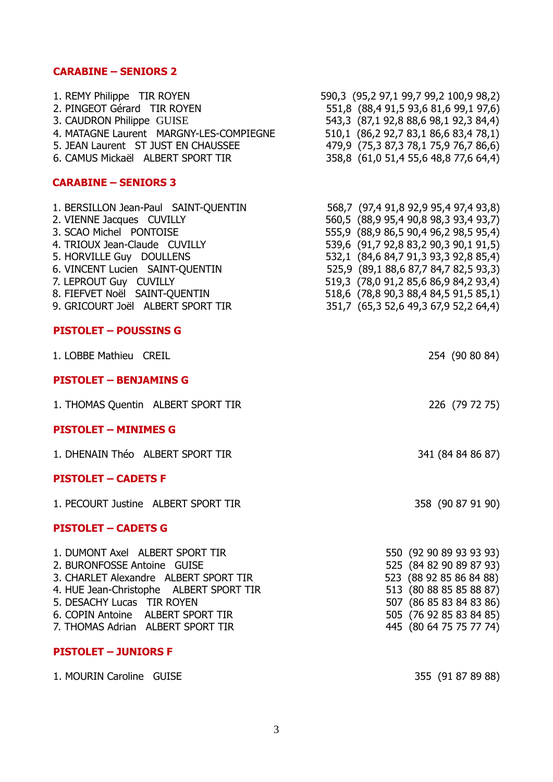# **CARABINE – SENIORS 2**

| 1. REMY Philippe TIR ROYEN<br>2. PINGEOT Gérard TIR ROYEN<br>3. CAUDRON Philippe GUISE<br>4. MATAGNE Laurent MARGNY-LES-COMPIEGNE<br>5. JEAN Laurent ST JUST EN CHAUSSEE<br>6. CAMUS Mickaël ALBERT SPORT TIR                                                                                | 590,3 (95,2 97,1 99,7 99,2 100,9 98,2)<br>551,8 (88,4 91,5 93,6 81,6 99,1 97,6)<br>543,3 (87,1 92,8 88,6 98,1 92,3 84,4)<br>510,1 (86,2 92,7 83,1 86,6 83,4 78,1)<br>479,9 (75,3 87,3 78,1 75,9 76,7 86,6)<br>358,8 (61,0 51,4 55,6 48,8 77,6 64,4)                                                         |
|----------------------------------------------------------------------------------------------------------------------------------------------------------------------------------------------------------------------------------------------------------------------------------------------|-------------------------------------------------------------------------------------------------------------------------------------------------------------------------------------------------------------------------------------------------------------------------------------------------------------|
| <b>CARABINE - SENIORS 3</b>                                                                                                                                                                                                                                                                  |                                                                                                                                                                                                                                                                                                             |
| 1. BERSILLON Jean-Paul SAINT-QUENTIN<br>2. VIENNE Jacques CUVILLY<br>3. SCAO Michel PONTOISE<br>4. TRIOUX Jean-Claude CUVILLY<br>5. HORVILLE Guy DOULLENS<br>6. VINCENT Lucien SAINT-QUENTIN<br>7. LEPROUT Guy CUVILLY<br>8. FIEFVET Noël SAINT-QUENTIN<br>9. GRICOURT Joël ALBERT SPORT TIR | $568,7 (97,491,892,995,497,493,8)$<br>560,5 (88,995,490,898,393,4937)<br>555,9 (88,986,590402)<br>532,1 (84,6 84,7 91,3 93,3 92,8 85,4)<br>525,9 (89,1 88,6 87,7 84,7 82,5 93,3)<br>519,3 (78,0 91,2 85,6 86,9 84,2 93,4)<br>518,6 (78,8 90,3 88,4 84,5 91,5 85,1)<br>351,7 (65,3 52,6 49,3 67,9 52,2 64,4) |
| <b>PISTOLET - POUSSINS G</b>                                                                                                                                                                                                                                                                 |                                                                                                                                                                                                                                                                                                             |
| 1. LOBBE Mathieu CREIL                                                                                                                                                                                                                                                                       | 254 (90 80 84)                                                                                                                                                                                                                                                                                              |
| <b>PISTOLET - BENJAMINS G</b>                                                                                                                                                                                                                                                                |                                                                                                                                                                                                                                                                                                             |
| 1. THOMAS Quentin ALBERT SPORT TIR                                                                                                                                                                                                                                                           | 226 (79 72 75)                                                                                                                                                                                                                                                                                              |
| <b>PISTOLET - MINIMES G</b>                                                                                                                                                                                                                                                                  |                                                                                                                                                                                                                                                                                                             |
| 1. DHENAIN Théo ALBERT SPORT TIR                                                                                                                                                                                                                                                             | 341 (84 84 86 87)                                                                                                                                                                                                                                                                                           |
| <b>PISTOLET - CADETS F</b>                                                                                                                                                                                                                                                                   |                                                                                                                                                                                                                                                                                                             |
| 1. PECOURT Justine ALBERT SPORT TIR                                                                                                                                                                                                                                                          | 358 (90 87 91 90)                                                                                                                                                                                                                                                                                           |
| <b>PISTOLET - CADETS G</b>                                                                                                                                                                                                                                                                   |                                                                                                                                                                                                                                                                                                             |
| 1. DUMONT Axel ALBERT SPORT TIR<br>2. BURONFOSSE Antoine GUISE<br>3. CHARLET Alexandre ALBERT SPORT TIR<br>4. HUE Jean-Christophe ALBERT SPORT TIR<br>5. DESACHY Lucas TIR ROYEN<br>6. COPIN Antoine ALBERT SPORT TIR<br>7. THOMAS Adrian ALBERT SPORT TIR<br><b>PISTOLET - JUNIORS F</b>    | 550 (92 90 89 93 93 93)<br>525 (84 82 90 89 87 93)<br>523 (88 92 85 86 84 88)<br>513 (80 88 85 85 88 87)<br>507 (86 85 83 84 83 86)<br>505 (76 92 85 83 84 85)<br>445 (80 64 75 75 77 74)                                                                                                                   |

1. MOURIN Caroline GUISE 355 (91 87 89 88)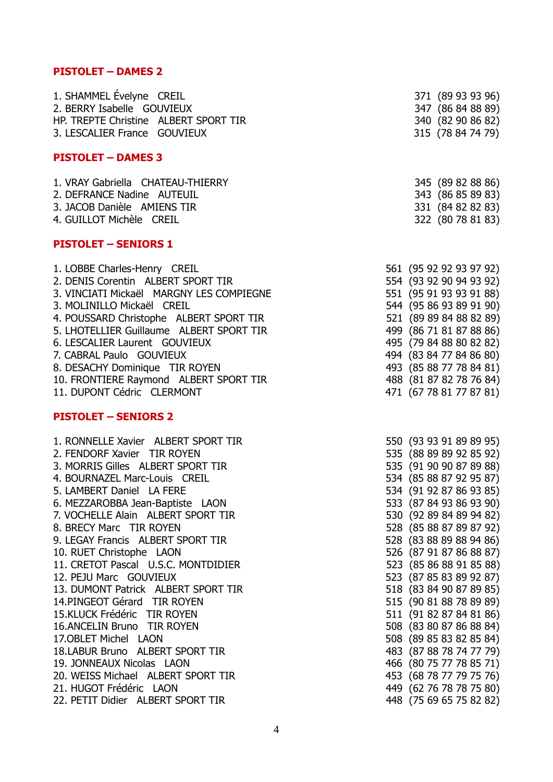## **PISTOLET – DAMES 2**

| 1. SHAMMEL Évelyne CREIL              | 371 (89 93 93 96) |
|---------------------------------------|-------------------|
| 2. BERRY Isabelle GOUVIEUX            | 347 (86 84 88 89) |
| HP. TREPTE Christine ALBERT SPORT TIR | 340 (82 90 86 82) |
| 3. LESCALIER France GOUVIEUX          | 315 (78 84 74 79) |

#### **PISTOLET – DAMES 3**

| 1. VRAY Gabriella CHATEAU-THIERRY | 345 (89 82 88 86) |
|-----------------------------------|-------------------|
| 2. DEFRANCE Nadine AUTEUIL        | 343 (86 85 89 83) |
| 3. JACOB Danièle AMIENS TIR       | 331 (84 82 82 83) |
| 4. GUILLOT Michèle CREIL          | 322 (80 78 81 83) |

### **PISTOLET – SENIORS 1**

| 1. LOBBE Charles-Henry CREIL             | 561 (95 92 92 93 97 92) |  |  |  |
|------------------------------------------|-------------------------|--|--|--|
| 2. DENIS Corentin ALBERT SPORT TIR       | 554 (93 92 90 94 93 92) |  |  |  |
| 3. VINCIATI Mickaël MARGNY LES COMPIEGNE | 551 (95 91 93 93 91 88) |  |  |  |
| 3. MOLINILLO Mickaël CREIL               | 544 (95 86 93 89 91 90) |  |  |  |
| 4. POUSSARD Christophe ALBERT SPORT TIR  | 521 (89 89 84 88 82 89) |  |  |  |
| 5. LHOTELLIER Guillaume ALBERT SPORT TIR | 499 (86 71 81 87 88 86) |  |  |  |
| 6. LESCALIER Laurent GOUVIEUX            | 495 (79 84 88 80 82 82) |  |  |  |
| 7. CABRAL Paulo GOUVIEUX                 | 494 (83 84 77 84 86 80) |  |  |  |
| 8. DESACHY Dominique TIR ROYEN           | 493 (85 88 77 78 84 81) |  |  |  |
| 10. FRONTIERE Raymond ALBERT SPORT TIR   | 488 (81 87 82 78 76 84) |  |  |  |
| 11. DUPONT Cédric CLERMONT               | 471 (67 78 81 77 87 81) |  |  |  |

### **PISTOLET – SENIORS 2**

| 1. RONNELLE Xavier ALBERT SPORT TIR | 550 (93 93 91 89 89 95) |  |  |  |
|-------------------------------------|-------------------------|--|--|--|
| 2. FENDORF Xavier TIR ROYEN         | 535 (88 89 89 92 85 92) |  |  |  |
| 3. MORRIS Gilles ALBERT SPORT TIR   | 535 (91 90 90 87 89 88) |  |  |  |
| 4. BOURNAZEL Marc-Louis CREIL       | 534 (85 88 87 92 95 87) |  |  |  |
| 5. LAMBERT Daniel LA FERE           | 534 (91 92 87 86 93 85) |  |  |  |
| 6. MEZZAROBBA Jean-Baptiste LAON    | 533 (87 84 93 86 93 90) |  |  |  |
| 7. VOCHELLE Alain ALBERT SPORT TIR  | 530 (92 89 84 89 94 82) |  |  |  |
| 8. BRECY Marc TIR ROYEN             | 528 (85 88 87 89 87 92) |  |  |  |
| 9. LEGAY Francis ALBERT SPORT TIR   | 528 (83 88 89 88 94 86) |  |  |  |
| 10. RUET Christophe LAON            | 526 (87 91 87 86 88 87) |  |  |  |
| 11. CRETOT Pascal U.S.C. MONTDIDIER | 523 (85 86 88 91 85 88) |  |  |  |
| 12. PEJU Marc GOUVIEUX              | 523 (87 85 83 89 92 87) |  |  |  |
| 13. DUMONT Patrick ALBERT SPORT TIR | 518 (83 84 90 87 89 85) |  |  |  |
| 14. PINGEOT Gérard TIR ROYEN        | 515 (90 81 88 78 89 89) |  |  |  |
| 15.KLUCK Frédéric TIR ROYEN         | 511 (91 82 87 84 81 86) |  |  |  |
| 16.ANCELIN Bruno TIR ROYEN          | 508 (83 80 87 86 88 84) |  |  |  |
| 17. OBLET Michel LAON               | 508 (89 85 83 82 85 84) |  |  |  |
| 18.LABUR Bruno ALBERT SPORT TIR     | 483 (87 88 78 74 77 79) |  |  |  |
| 19. JONNEAUX Nicolas LAON           | 466 (80 75 77 78 85 71) |  |  |  |
| 20. WEISS Michael ALBERT SPORT TIR  | 453 (68 78 77 79 75 76) |  |  |  |
| 21. HUGOT Frédéric LAON             | 449 (62 76 78 78 75 80) |  |  |  |
| 22. PETIT Didier ALBERT SPORT TIR   | 448 (75 69 65 75 82 82) |  |  |  |

|                                                                                                                                                        | 347<br>340<br>315                                                                                                                                                                                                                                                                                                                                                                                                                                              |             |       | (86 84 88 89)<br>(82 90 86 82)<br>(78847479)            |
|--------------------------------------------------------------------------------------------------------------------------------------------------------|----------------------------------------------------------------------------------------------------------------------------------------------------------------------------------------------------------------------------------------------------------------------------------------------------------------------------------------------------------------------------------------------------------------------------------------------------------------|-------------|-------|---------------------------------------------------------|
|                                                                                                                                                        | 345<br>343<br>331<br>322                                                                                                                                                                                                                                                                                                                                                                                                                                       |             |       | (89828886)<br>(86 85 89 83)<br>(84828283)<br>(80788183) |
| 561<br>554<br>551<br>544<br>521<br>499<br>495<br>494<br>493<br>488<br>471                                                                              | (95 92 92 93 97 92)<br>(93 92 90 94 93 92)<br>(95 91 93 93 91 88)<br>(95 86 93 89 91 90)<br>(89 89 84 88 82 89)<br>(867181878886)<br>(79 84 88 80 82 82)<br>(83 84 77 84 86 80)<br>(85 88 77 78 84 81)<br>(81 87 82 78 76 84)<br>(677881778781)                                                                                                                                                                                                                |             |       |                                                         |
| 550<br>535<br>535<br>534<br>534<br>533<br>530<br>528<br>528<br>526<br>523<br>523<br>518<br>515<br>511<br>508<br>508<br>483<br>466<br>453<br>449<br>448 | (93 93 91 89 89 95)<br>(88 89 89 92 85 92)<br>(91 90 90 87 89 88)<br>(85 88 87 92 95 87)<br>(919287869385)<br>(87 84 93 86 93 90)<br>(92 89 84 89 94 82)<br>(85 88 87 89 87 92)<br>(83 88 89 88 94 86)<br>(87 91 87 86 88<br>(85 86 88 91 85 88)<br>(87 85 83 89 92 87)<br>(83 84 90 87 89<br>(90 81 88 78 89<br>(91)<br>(83 80 87 86 88<br>(89 85 83 82 85 84)<br>(87 88 78 74 77 79)<br>(80 75 77 78 85 71)<br>(68 78 77<br>(627678787580)<br>(756965758282) | 82 87 84 81 | 79 75 | 87)<br>85)<br>89)<br>86)<br>84)<br>76)                  |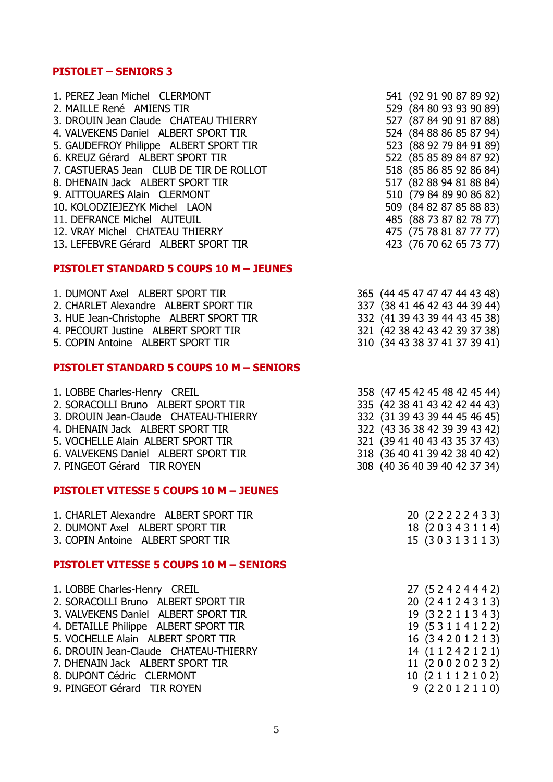# **PISTOLET – SENIORS 3**

| 1. PEREZ Jean Michel CLERMONT<br>2. MAILLE René AMIENS TIR | 541 (92 91 90 87 89 92)<br>529 (84 80 93 93 90 89) |  |  |
|------------------------------------------------------------|----------------------------------------------------|--|--|
| 3. DROUIN Jean Claude CHATEAU THIERRY                      | 527 (87 84 90 91 87 88)                            |  |  |
| 4. VALVEKENS Daniel ALBERT SPORT TIR                       | 524 (84 88 86 85 87 94)                            |  |  |
| 5. GAUDEFROY Philippe ALBERT SPORT TIR                     | 523 (88 92 79 84 91 89)                            |  |  |
| 6. KREUZ Gérard ALBERT SPORT TIR                           | 522 (85 85 89 84 87 92)                            |  |  |
| 7. CASTUERAS Jean CLUB DE TIR DE ROLLOT                    | 518 (85 86 85 92 86 84)                            |  |  |
| 8. DHENAIN Jack ALBERT SPORT TIR                           | 517 (82 88 94 81 88 84)                            |  |  |
| 9. AITTOUARES Alain CLERMONT                               | 510 (79 84 89 90 86 82)                            |  |  |
| 10. KOLODZIEJEZYK Michel LAON                              | 509 (84 82 87 85 88 83)                            |  |  |
| 11. DEFRANCE Michel AUTEUIL                                | 485 (88 73 87 82 78 77)                            |  |  |
| 12. VRAY Michel CHATEAU THIERRY                            | 475 (75 78 81 87 77 77)                            |  |  |
| 13. LEFEBVRE Gérard ALBERT SPORT TIR                       | 423 (76 70 62 65 73 77)                            |  |  |

## **PISTOLET STANDARD 5 COUPS 10 M – JEUNES**

| 1. DUMONT Axel ALBERT SPORT TIR         | 365 (44 45 47 47 47 44 43 48) |
|-----------------------------------------|-------------------------------|
| 2. CHARLET Alexandre ALBERT SPORT TIR   | 337 (38 41 46 42 43 44 39 44) |
| 3. HUE Jean-Christophe ALBERT SPORT TIR | 332 (41 39 43 39 44 43 45 38) |
| 4. PECOURT Justine ALBERT SPORT TIR     | 321 (42 38 42 43 42 39 37 38) |
| 5. COPIN Antoine ALBERT SPORT TIR       | 310 (34 43 38 37 41 37 39 41) |

## **PISTOLET STANDARD 5 COUPS 10 M – SENIORS**

| 1. LOBBE Charles-Henry CREIL                  | 358 (47 45 42 45 48 42 45 44) |
|-----------------------------------------------|-------------------------------|
| 2. SORACOLLI Bruno ALBERT SPORT TIR           | 335 (42 38 41 43 42 42 44 43) |
| 3. DROUIN Jean-Claude CHATEAU-THIERRY         | 332 (31 39 43 39 44 45 46 45) |
| 4. DHENAIN Jack ALBERT SPORT TIR              | 322 (43 36 38 42 39 39 43 42) |
| 5. VOCHELLE Alain ALBERT SPORT TIR            | 321 (39 41 40 43 43 35 37 43) |
| 6. VALVEKENS Daniel ALBERT SPORT TIR          | 318 (36 40 41 39 42 38 40 42) |
| 7. PINGEOT Gérard TIR ROYEN                   | 308 (40 36 40 39 40 42 37 34) |
|                                               |                               |
| <b>PISTOLET VITESSE 5 COUPS 10 M - JEUNES</b> |                               |
| 1. CHARLET Alexandre ALBERT SPORT TIR         | 20 (2 2 2 2 2 4 3 3)          |

|  | <b>I</b> CIRNELITICAGHOL TEDENI OI ONI IIN | $20 \t C22221$ |  |
|--|--------------------------------------------|----------------|--|
|  | 2. DUMONT Axel ALBERT SPORT TIR            | 18 (20343114)  |  |
|  | 3. COPIN Antoine ALBERT SPORT TIR          | 15 (30313113)  |  |

#### **PISTOLET VITESSE 5 COUPS 10 M – SENIORS**

| 1. LOBBE Charles-Henry CREIL          | 27 (5 2 4 2 4 4 4 2) |
|---------------------------------------|----------------------|
| 2. SORACOLLI Bruno ALBERT SPORT TIR   | 20 (24124313)        |
| 3. VALVEKENS Daniel ALBERT SPORT TIR  | 19 (32211343)        |
| 4. DETAILLE Philippe ALBERT SPORT TIR | 19 (53114122)        |
| 5. VOCHELLE Alain ALBERT SPORT TIR    | 16 (34201213)        |
| 6. DROUIN Jean-Claude CHATEAU-THIERRY | 14 (1 1 2 4 2 1 2 1) |
| 7. DHENAIN Jack ALBERT SPORT TIR      | 11 (20020232)        |
| 8. DUPONT Cédric CLERMONT             | 10 (2 1 1 1 2 1 0 2) |
| 9. PINGEOT Gérard TIR ROYEN           | 9 (2 2 0 1 2 1 1 0)  |